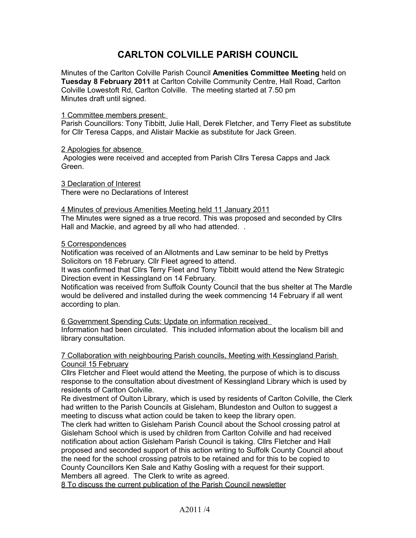# **CARLTON COLVILLE PARISH COUNCIL**

Minutes of the Carlton Colville Parish Council **Amenities Committee Meeting** held on **Tuesday 8 February 2011** at Carlton Colville Community Centre, Hall Road, Carlton Colville Lowestoft Rd, Carlton Colville. The meeting started at 7.50 pm Minutes draft until signed.

# 1 Committee members present:

Parish Councillors: Tony Tibbitt, Julie Hall, Derek Fletcher, and Terry Fleet as substitute for Cllr Teresa Capps, and Alistair Mackie as substitute for Jack Green.

# 2 Apologies for absence

Apologies were received and accepted from Parish Cllrs Teresa Capps and Jack Green.

 3 Declaration of Interest There were no Declarations of Interest

# 4 Minutes of previous Amenities Meeting held 11 January 2011

The Minutes were signed as a true record. This was proposed and seconded by Cllrs Hall and Mackie, and agreed by all who had attended. .

# 5 Correspondences

Notification was received of an Allotments and Law seminar to be held by Prettys Solicitors on 18 February. Cllr Fleet agreed to attend.

It was confirmed that Cllrs Terry Fleet and Tony Tibbitt would attend the New Strategic Direction event in Kessingland on 14 February.

Notification was received from Suffolk County Council that the bus shelter at The Mardle would be delivered and installed during the week commencing 14 February if all went according to plan.

6 Government Spending Cuts: Update on information received Information had been circulated. This included information about the localism bill and library consultation.

7 Collaboration with neighbouring Parish councils, Meeting with Kessingland Parish Council 15 February

Cllrs Fletcher and Fleet would attend the Meeting, the purpose of which is to discuss response to the consultation about divestment of Kessingland Library which is used by residents of Carlton Colville.

Re divestment of Oulton Library, which is used by residents of Carlton Colville, the Clerk had written to the Parish Councils at Gisleham, Blundeston and Oulton to suggest a meeting to discuss what action could be taken to keep the library open.

The clerk had written to Gisleham Parish Council about the School crossing patrol at Gisleham School which is used by children from Carlton Colville and had received notification about action Gisleham Parish Council is taking. Cllrs Fletcher and Hall proposed and seconded support of this action writing to Suffolk County Council about the need for the school crossing patrols to be retained and for this to be copied to County Councillors Ken Sale and Kathy Gosling with a request for their support. Members all agreed. The Clerk to write as agreed.

8 To discuss the current publication of the Parish Council newsletter